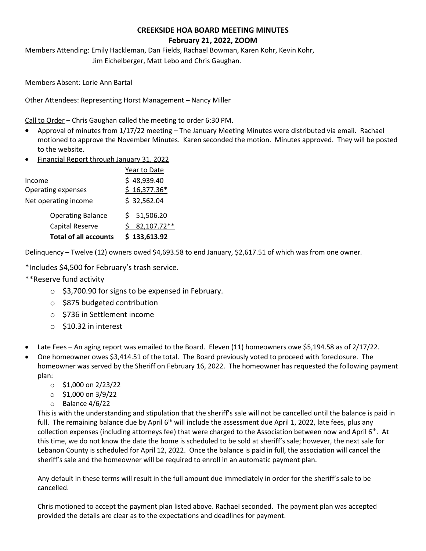# **CREEKSIDE HOA BOARD MEETING MINUTES February 21, 2022, ZOOM**

Members Attending: Emily Hackleman, Dan Fields, Rachael Bowman, Karen Kohr, Kevin Kohr, Jim Eichelberger, Matt Lebo and Chris Gaughan.

Members Absent: Lorie Ann Bartal

Other Attendees: Representing Horst Management – Nancy Miller

Call to Order – Chris Gaughan called the meeting to order 6:30 PM.

- Approval of minutes from 1/17/22 meeting The January Meeting Minutes were distributed via email. Rachael motioned to approve the November Minutes. Karen seconded the motion. Minutes approved. They will be posted to the website.
- Financial Report through January 31, 2022

| <b>Total of all accounts</b> | \$133,613.92    |
|------------------------------|-----------------|
| Capital Reserve              | 82,107.72**     |
| <b>Operating Balance</b>     | 51,506.20<br>S. |
| Net operating income         | \$32,562.04     |
| <b>Operating expenses</b>    | $$16,377.36*$   |
| Income                       | \$48,939.40     |
|                              | Year to Date    |

Delinquency – Twelve (12) owners owed \$4,693.58 to end January, \$2,617.51 of which was from one owner.

\*Includes \$4,500 for February's trash service.

- \*\*Reserve fund activity
	- o \$3,700.90 for signs to be expensed in February.
	- o \$875 budgeted contribution
	- o \$736 in Settlement income
	- o \$10.32 in interest
- Late Fees An aging report was emailed to the Board. Eleven (11) homeowners owe \$5,194.58 as of 2/17/22.
- One homeowner owes \$3,414.51 of the total. The Board previously voted to proceed with foreclosure. The homeowner was served by the Sheriff on February 16, 2022. The homeowner has requested the following payment plan:
	- $\circ$  \$1,000 on 2/23/22
	- $\circ$  \$1,000 on 3/9/22
	- o Balance 4/6/22

This is with the understanding and stipulation that the sheriff's sale will not be cancelled until the balance is paid in full. The remaining balance due by April  $6<sup>th</sup>$  will include the assessment due April 1, 2022, late fees, plus any collection expenses (including attorneys fee) that were charged to the Association between now and April  $6<sup>th</sup>$ . At this time, we do not know the date the home is scheduled to be sold at sheriff's sale; however, the next sale for Lebanon County is scheduled for April 12, 2022. Once the balance is paid in full, the association will cancel the sheriff's sale and the homeowner will be required to enroll in an automatic payment plan.

Any default in these terms will result in the full amount due immediately in order for the sheriff's sale to be cancelled.

Chris motioned to accept the payment plan listed above. Rachael seconded. The payment plan was accepted provided the details are clear as to the expectations and deadlines for payment.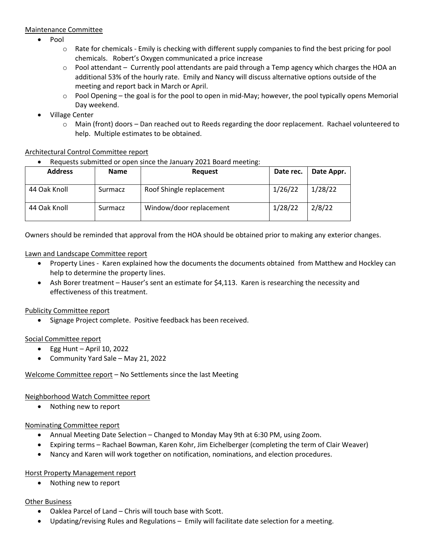### Maintenance Committee

- Pool
	- $\circ$  Rate for chemicals Emily is checking with different supply companies to find the best pricing for pool chemicals. Robert's Oxygen communicated a price increase
	- $\circ$  Pool attendant Currently pool attendants are paid through a Temp agency which charges the HOA an additional 53% of the hourly rate. Emily and Nancy will discuss alternative options outside of the meeting and report back in March or April.
	- $\circ$  Pool Opening the goal is for the pool to open in mid-May; however, the pool typically opens Memorial Day weekend.
- Village Center
	- o Main (front) doors Dan reached out to Reeds regarding the door replacement. Rachael volunteered to help. Multiple estimates to be obtained.

## Architectural Control Committee report

• Requests submitted or open since the January 2021 Board meeting:

| <b>Address</b> | <b>Name</b> | <b>Request</b>           | Date rec. | Date Appr. |
|----------------|-------------|--------------------------|-----------|------------|
| 44 Oak Knoll   | Surmacz     | Roof Shingle replacement | 1/26/22   | 1/28/22    |
| 44 Oak Knoll   | Surmacz     | Window/door replacement  | 1/28/22   | 2/8/22     |

Owners should be reminded that approval from the HOA should be obtained prior to making any exterior changes.

## Lawn and Landscape Committee report

- Property Lines Karen explained how the documents the documents obtained from Matthew and Hockley can help to determine the property lines.
- Ash Borer treatment Hauser's sent an estimate for \$4,113. Karen is researching the necessity and effectiveness of this treatment.

### Publicity Committee report

• Signage Project complete. Positive feedback has been received.

### Social Committee report

- $\bullet$  Egg Hunt April 10, 2022
- Community Yard Sale May 21, 2022

## Welcome Committee report – No Settlements since the last Meeting

### Neighborhood Watch Committee report

• Nothing new to report

### Nominating Committee report

- Annual Meeting Date Selection Changed to Monday May 9th at 6:30 PM, using Zoom.
- Expiring terms Rachael Bowman, Karen Kohr, Jim Eichelberger (completing the term of Clair Weaver)
- Nancy and Karen will work together on notification, nominations, and election procedures.

## Horst Property Management report

• Nothing new to report

## **Other Business**

- Oaklea Parcel of Land Chris will touch base with Scott.
- Updating/revising Rules and Regulations Emily will facilitate date selection for a meeting.